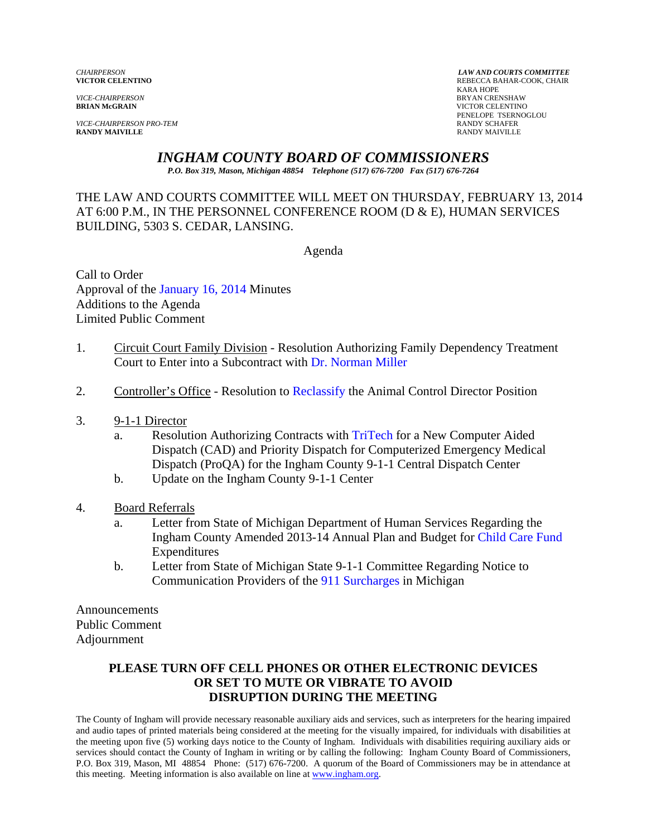*VICE-CHAIRPERSON* BRYAN CRENSHAW

*VICE-CHAIRPERSON PRO-TEM* RANDY SCHAFER **RANDY MAIVILLE** RANDY MAIVILLE

*CHAIRPERSON LAW AND COURTS COMMITTEE* REBECCA BAHAR-COOK, CHAIR<br>KARA HOPE KARA HOPE **VICTOR CELENTINO** PENELOPE TSERNOGLOU<br>RANDY SCHAFER

# *INGHAM COUNTY BOARD OF COMMISSIONERS*

*P.O. Box 319, Mason, Michigan 48854 Telephone (517) 676-7200 Fax (517) 676-7264*

# THE LAW AND COURTS COMMITTEE WILL MEET ON THURSDAY, FEBRUARY 13, 2014 AT 6:00 P.M., IN THE PERSONNEL CONFERENCE ROOM (D & E), HUMAN SERVICES BUILDING, 5303 S. CEDAR, LANSING.

Agenda

Call to Order Approval of [the January 16, 2014 Minutes](#page-1-0)  Additions to the Agenda Limited Public Comment

- 1. Circuit Court Family Division Resolution Authorizing Family Dependency Treatment Court to Enter into a Subcontract w[ith Dr. Norman Miller](#page-7-0)
- 2. Controller's Office Resolution [to Reclassify the Anim](#page-9-0)al Control Director Position
- 3. 9-1-1 Director
	- a. Resolution Authorizing Contracts [with TriTech for a New Com](#page-17-0)puter Aided Dispatch (CAD) and Priority Dispatch for Computerized Emergency Medical Dispatch (ProQA) for the Ingham County 9-1-1 Central Dispatch Center
	- b. Update on the Ingham County 9-1-1 Center
- 4. Board Referrals
	- a. Letter from State of Michigan Department of Human Services Regarding the Ingham County Amended 2013-14 Annual Plan and Bud[get for Child Care Fund](#page-20-0)  Expenditures
	- b. Letter from State of Michigan State 9-1-1 Committee Regarding Notice to Communication Providers o[f the 911 Surcharges in M](#page-22-0)ichigan

Announcements Public Comment Adjournment

# **PLEASE TURN OFF CELL PHONES OR OTHER ELECTRONIC DEVICES OR SET TO MUTE OR VIBRATE TO AVOID DISRUPTION DURING THE MEETING**

The County of Ingham will provide necessary reasonable auxiliary aids and services, such as interpreters for the hearing impaired and audio tapes of printed materials being considered at the meeting for the visually impaired, for individuals with disabilities at the meeting upon five (5) working days notice to the County of Ingham. Individuals with disabilities requiring auxiliary aids or services should contact the County of Ingham in writing or by calling the following: Ingham County Board of Commissioners, P.O. Box 319, Mason, MI 48854 Phone: (517) 676-7200. A quorum of the Board of Commissioners may be in attendance at this meeting. Meeting information is also available on line at www.ingham.org.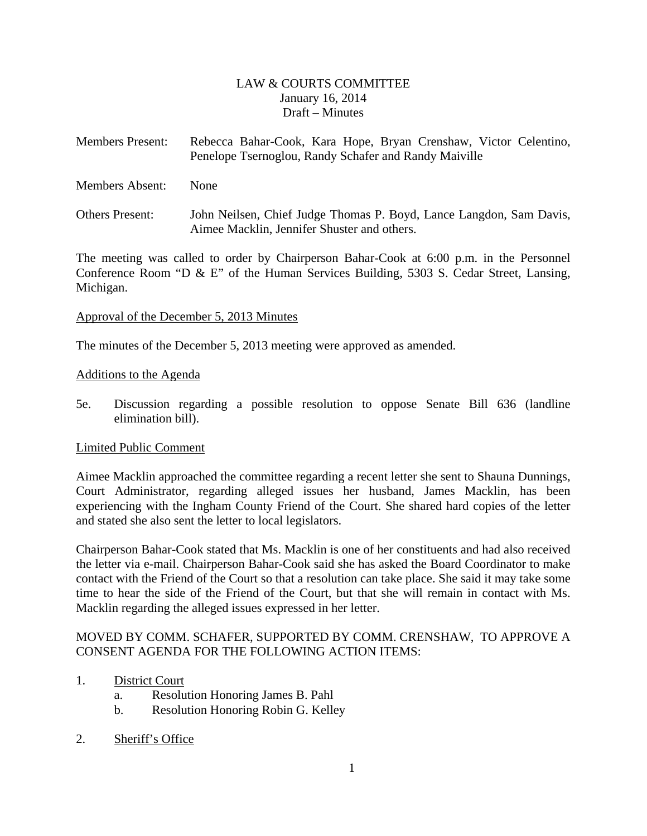# LAW & COURTS COMMITTEE January 16, 2014 Draft – Minutes

- <span id="page-1-0"></span>Members Present: Rebecca Bahar-Cook, Kara Hope, Bryan Crenshaw, Victor Celentino, Penelope Tsernoglou, Randy Schafer and Randy Maiville
- Members Absent: None
- Others Present: John Neilsen, Chief Judge Thomas P. Boyd, Lance Langdon, Sam Davis, Aimee Macklin, Jennifer Shuster and others.

The meeting was called to order by Chairperson Bahar-Cook at 6:00 p.m. in the Personnel Conference Room "D & E" of the Human Services Building, 5303 S. Cedar Street, Lansing, Michigan.

#### Approval of the December 5, 2013 Minutes

The minutes of the December 5, 2013 meeting were approved as amended.

#### Additions to the Agenda

5e. Discussion regarding a possible resolution to oppose Senate Bill 636 (landline elimination bill).

#### Limited Public Comment

Aimee Macklin approached the committee regarding a recent letter she sent to Shauna Dunnings, Court Administrator, regarding alleged issues her husband, James Macklin, has been experiencing with the Ingham County Friend of the Court. She shared hard copies of the letter and stated she also sent the letter to local legislators.

Chairperson Bahar-Cook stated that Ms. Macklin is one of her constituents and had also received the letter via e-mail. Chairperson Bahar-Cook said she has asked the Board Coordinator to make contact with the Friend of the Court so that a resolution can take place. She said it may take some time to hear the side of the Friend of the Court, but that she will remain in contact with Ms. Macklin regarding the alleged issues expressed in her letter.

# MOVED BY COMM. SCHAFER, SUPPORTED BY COMM. CRENSHAW, TO APPROVE A CONSENT AGENDA FOR THE FOLLOWING ACTION ITEMS:

- 1. District Court
	- a. Resolution Honoring James B. Pahl
	- b. Resolution Honoring Robin G. Kelley
- 2. Sheriff's Office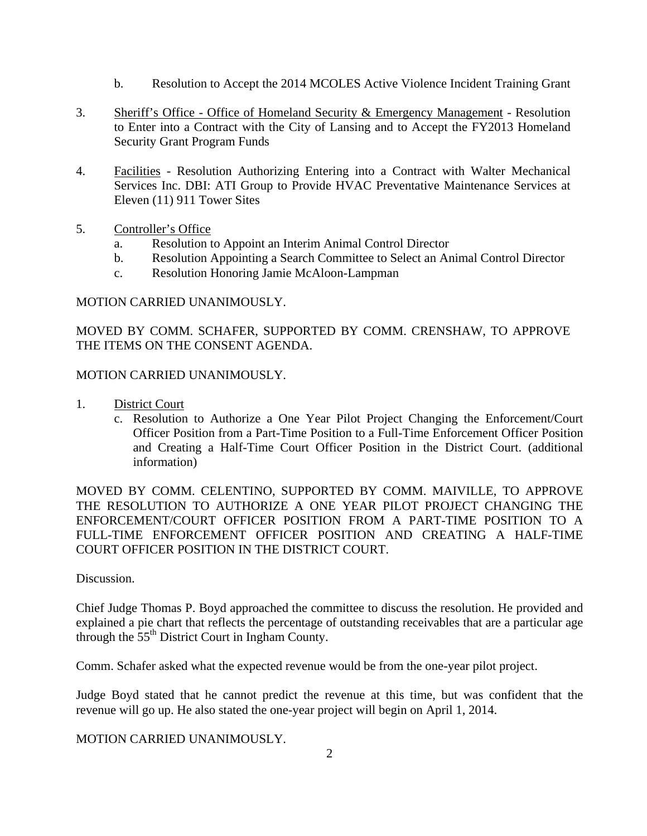- b. Resolution to Accept the 2014 MCOLES Active Violence Incident Training Grant
- 3. Sheriff's Office Office of Homeland Security & Emergency Management Resolution to Enter into a Contract with the City of Lansing and to Accept the FY2013 Homeland Security Grant Program Funds
- 4. Facilities Resolution Authorizing Entering into a Contract with Walter Mechanical Services Inc. DBI: ATI Group to Provide HVAC Preventative Maintenance Services at Eleven (11) 911 Tower Sites
- 5. Controller's Office
	- a. Resolution to Appoint an Interim Animal Control Director
	- b. Resolution Appointing a Search Committee to Select an Animal Control Director
	- c. Resolution Honoring Jamie McAloon-Lampman

#### MOTION CARRIED UNANIMOUSLY.

MOVED BY COMM. SCHAFER, SUPPORTED BY COMM. CRENSHAW, TO APPROVE THE ITEMS ON THE CONSENT AGENDA.

#### MOTION CARRIED UNANIMOUSLY.

- 1. District Court
	- c. Resolution to Authorize a One Year Pilot Project Changing the Enforcement/Court Officer Position from a Part-Time Position to a Full-Time Enforcement Officer Position and Creating a Half-Time Court Officer Position in the District Court. (additional information)

MOVED BY COMM. CELENTINO, SUPPORTED BY COMM. MAIVILLE, TO APPROVE THE RESOLUTION TO AUTHORIZE A ONE YEAR PILOT PROJECT CHANGING THE ENFORCEMENT/COURT OFFICER POSITION FROM A PART-TIME POSITION TO A FULL-TIME ENFORCEMENT OFFICER POSITION AND CREATING A HALF-TIME COURT OFFICER POSITION IN THE DISTRICT COURT.

#### Discussion.

Chief Judge Thomas P. Boyd approached the committee to discuss the resolution. He provided and explained a pie chart that reflects the percentage of outstanding receivables that are a particular age through the  $55<sup>th</sup>$  District Court in Ingham County.

Comm. Schafer asked what the expected revenue would be from the one-year pilot project.

Judge Boyd stated that he cannot predict the revenue at this time, but was confident that the revenue will go up. He also stated the one-year project will begin on April 1, 2014.

MOTION CARRIED UNANIMOUSLY.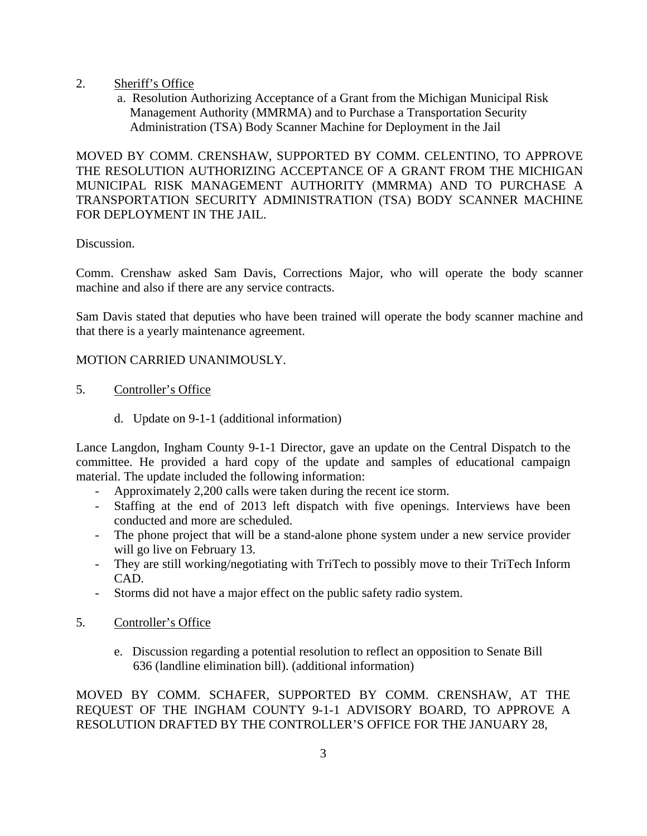- 2. Sheriff's Office
	- a. Resolution Authorizing Acceptance of a Grant from the Michigan Municipal Risk Management Authority (MMRMA) and to Purchase a Transportation Security Administration (TSA) Body Scanner Machine for Deployment in the Jail

MOVED BY COMM. CRENSHAW, SUPPORTED BY COMM. CELENTINO, TO APPROVE THE RESOLUTION AUTHORIZING ACCEPTANCE OF A GRANT FROM THE MICHIGAN MUNICIPAL RISK MANAGEMENT AUTHORITY (MMRMA) AND TO PURCHASE A TRANSPORTATION SECURITY ADMINISTRATION (TSA) BODY SCANNER MACHINE FOR DEPLOYMENT IN THE JAIL.

# Discussion.

Comm. Crenshaw asked Sam Davis, Corrections Major, who will operate the body scanner machine and also if there are any service contracts.

Sam Davis stated that deputies who have been trained will operate the body scanner machine and that there is a yearly maintenance agreement.

# MOTION CARRIED UNANIMOUSLY.

- 5. Controller's Office
	- d. Update on 9-1-1 (additional information)

Lance Langdon, Ingham County 9-1-1 Director, gave an update on the Central Dispatch to the committee. He provided a hard copy of the update and samples of educational campaign material. The update included the following information:

- Approximately 2,200 calls were taken during the recent ice storm.
- Staffing at the end of 2013 left dispatch with five openings. Interviews have been conducted and more are scheduled.
- The phone project that will be a stand-alone phone system under a new service provider will go live on February 13.
- They are still working/negotiating with TriTech to possibly move to their TriTech Inform CAD.
- Storms did not have a major effect on the public safety radio system.
- 5. Controller's Office
	- e. Discussion regarding a potential resolution to reflect an opposition to Senate Bill 636 (landline elimination bill). (additional information)

MOVED BY COMM. SCHAFER, SUPPORTED BY COMM. CRENSHAW, AT THE REQUEST OF THE INGHAM COUNTY 9-1-1 ADVISORY BOARD, TO APPROVE A RESOLUTION DRAFTED BY THE CONTROLLER'S OFFICE FOR THE JANUARY 28,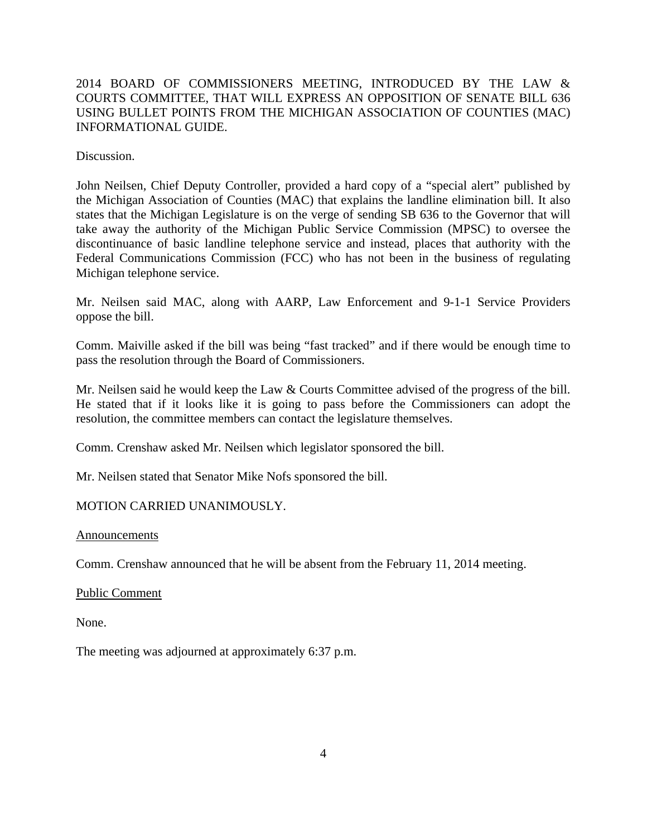# 2014 BOARD OF COMMISSIONERS MEETING, INTRODUCED BY THE LAW & COURTS COMMITTEE, THAT WILL EXPRESS AN OPPOSITION OF SENATE BILL 636 USING BULLET POINTS FROM THE MICHIGAN ASSOCIATION OF COUNTIES (MAC) INFORMATIONAL GUIDE.

Discussion.

John Neilsen, Chief Deputy Controller, provided a hard copy of a "special alert" published by the Michigan Association of Counties (MAC) that explains the landline elimination bill. It also states that the Michigan Legislature is on the verge of sending SB 636 to the Governor that will take away the authority of the Michigan Public Service Commission (MPSC) to oversee the discontinuance of basic landline telephone service and instead, places that authority with the Federal Communications Commission (FCC) who has not been in the business of regulating Michigan telephone service.

Mr. Neilsen said MAC, along with AARP, Law Enforcement and 9-1-1 Service Providers oppose the bill.

Comm. Maiville asked if the bill was being "fast tracked" and if there would be enough time to pass the resolution through the Board of Commissioners.

Mr. Neilsen said he would keep the Law & Courts Committee advised of the progress of the bill. He stated that if it looks like it is going to pass before the Commissioners can adopt the resolution, the committee members can contact the legislature themselves.

Comm. Crenshaw asked Mr. Neilsen which legislator sponsored the bill.

Mr. Neilsen stated that Senator Mike Nofs sponsored the bill.

#### MOTION CARRIED UNANIMOUSLY.

Announcements

Comm. Crenshaw announced that he will be absent from the February 11, 2014 meeting.

Public Comment

None.

The meeting was adjourned at approximately 6:37 p.m.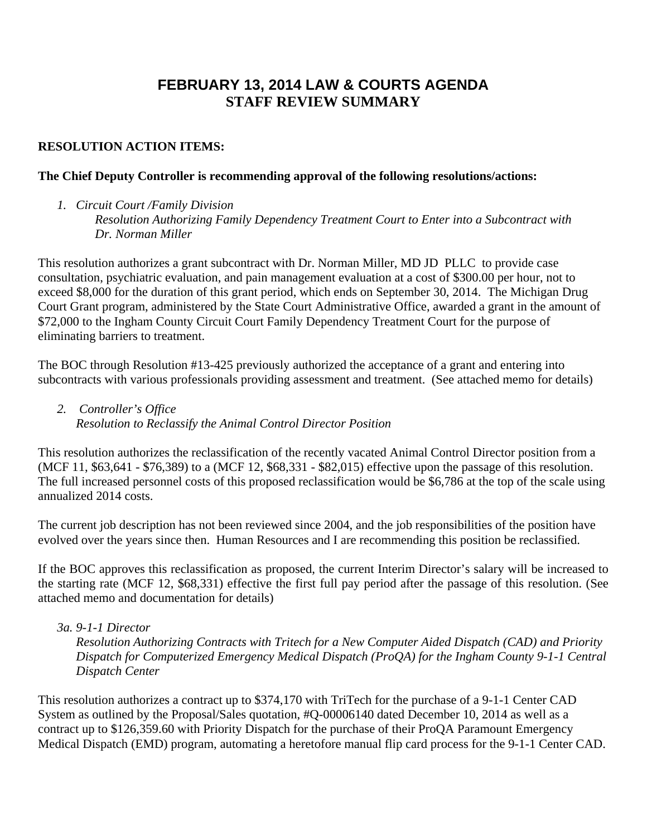# **FEBRUARY 13, 2014 LAW & COURTS AGENDA STAFF REVIEW SUMMARY**

# **RESOLUTION ACTION ITEMS:**

### **The Chief Deputy Controller is recommending approval of the following resolutions/actions:**

*1. Circuit Court /Family Division Resolution Authorizing Family Dependency Treatment Court to Enter into a Subcontract with Dr. Norman Miller* 

This resolution authorizes a grant subcontract with Dr. Norman Miller, MD JD PLLC to provide case consultation, psychiatric evaluation, and pain management evaluation at a cost of \$300.00 per hour, not to exceed \$8,000 for the duration of this grant period, which ends on September 30, 2014. The Michigan Drug Court Grant program, administered by the State Court Administrative Office, awarded a grant in the amount of \$72,000 to the Ingham County Circuit Court Family Dependency Treatment Court for the purpose of eliminating barriers to treatment.

The BOC through Resolution #13-425 previously authorized the acceptance of a grant and entering into subcontracts with various professionals providing assessment and treatment. (See attached memo for details)

*2. Controller's Office Resolution to Reclassify the Animal Control Director Position* 

This resolution authorizes the reclassification of the recently vacated Animal Control Director position from a (MCF 11, \$63,641 - \$76,389) to a (MCF 12, \$68,331 - \$82,015) effective upon the passage of this resolution. The full increased personnel costs of this proposed reclassification would be \$6,786 at the top of the scale using annualized 2014 costs.

The current job description has not been reviewed since 2004, and the job responsibilities of the position have evolved over the years since then. Human Resources and I are recommending this position be reclassified.

If the BOC approves this reclassification as proposed, the current Interim Director's salary will be increased to the starting rate (MCF 12, \$68,331) effective the first full pay period after the passage of this resolution. (See attached memo and documentation for details)

#### *3a. 9-1-1 Director*

*Resolution Authorizing Contracts with Tritech for a New Computer Aided Dispatch (CAD) and Priority Dispatch for Computerized Emergency Medical Dispatch (ProQA) for the Ingham County 9-1-1 Central Dispatch Center* 

This resolution authorizes a contract up to \$374,170 with TriTech for the purchase of a 9-1-1 Center CAD System as outlined by the Proposal/Sales quotation, #Q-00006140 dated December 10, 2014 as well as a contract up to \$126,359.60 with Priority Dispatch for the purchase of their ProQA Paramount Emergency Medical Dispatch (EMD) program, automating a heretofore manual flip card process for the 9-1-1 Center CAD.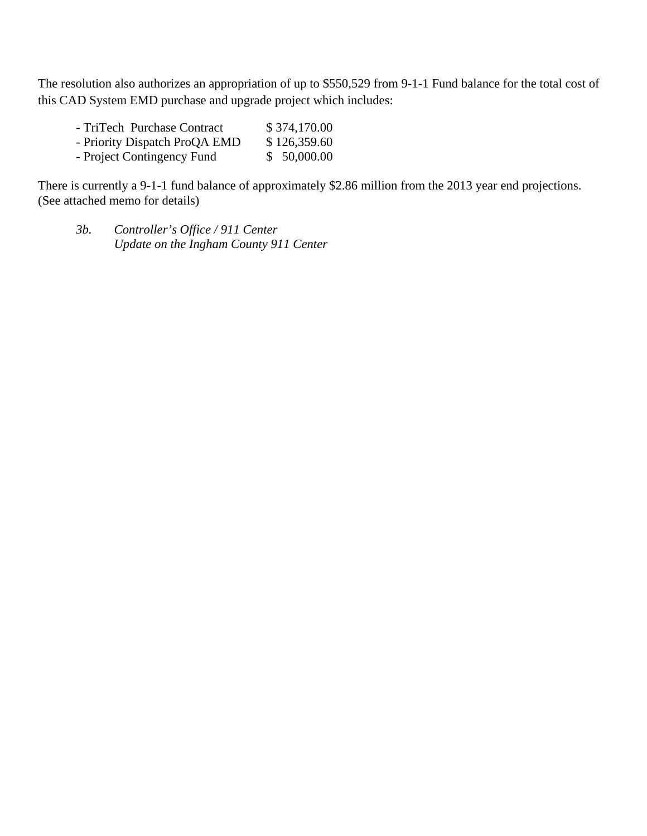The resolution also authorizes an appropriation of up to \$550,529 from 9-1-1 Fund balance for the total cost of this CAD System EMD purchase and upgrade project which includes:

| \$374,170.00 |
|--------------|
| \$126,359.60 |
| \$50,000.00  |
|              |

There is currently a 9-1-1 fund balance of approximately \$2.86 million from the 2013 year end projections. (See attached memo for details)

*3b. Controller's Office / 911 Center Update on the Ingham County 911 Center*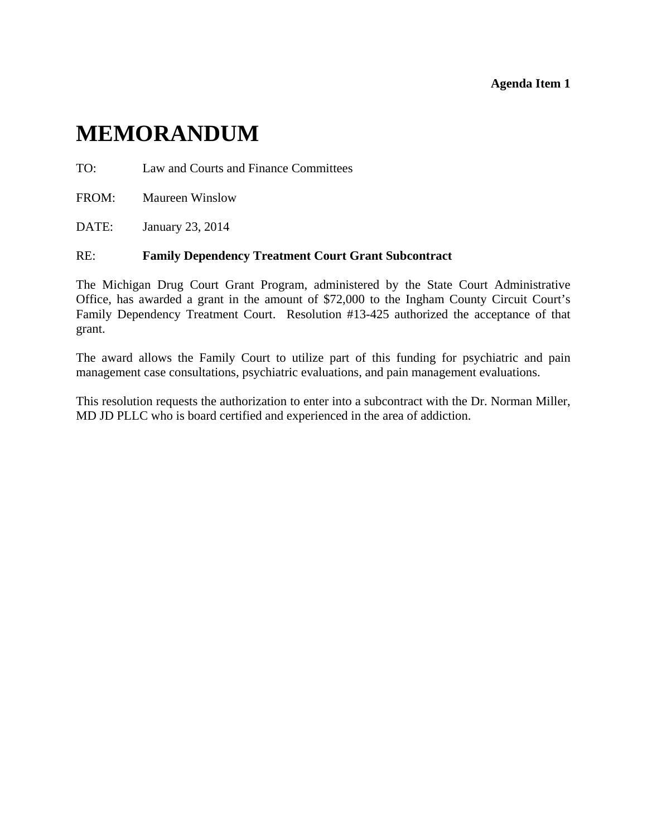#### **Agenda Item 1**

# <span id="page-7-0"></span>**MEMORANDUM**

TO: Law and Courts and Finance Committees

FROM: Maureen Winslow

DATE: January 23, 2014

#### RE: **Family Dependency Treatment Court Grant Subcontract**

The Michigan Drug Court Grant Program, administered by the State Court Administrative Office, has awarded a grant in the amount of \$72,000 to the Ingham County Circuit Court's Family Dependency Treatment Court. Resolution #13-425 authorized the acceptance of that grant.

The award allows the Family Court to utilize part of this funding for psychiatric and pain management case consultations, psychiatric evaluations, and pain management evaluations.

This resolution requests the authorization to enter into a subcontract with the Dr. Norman Miller, MD JD PLLC who is board certified and experienced in the area of addiction.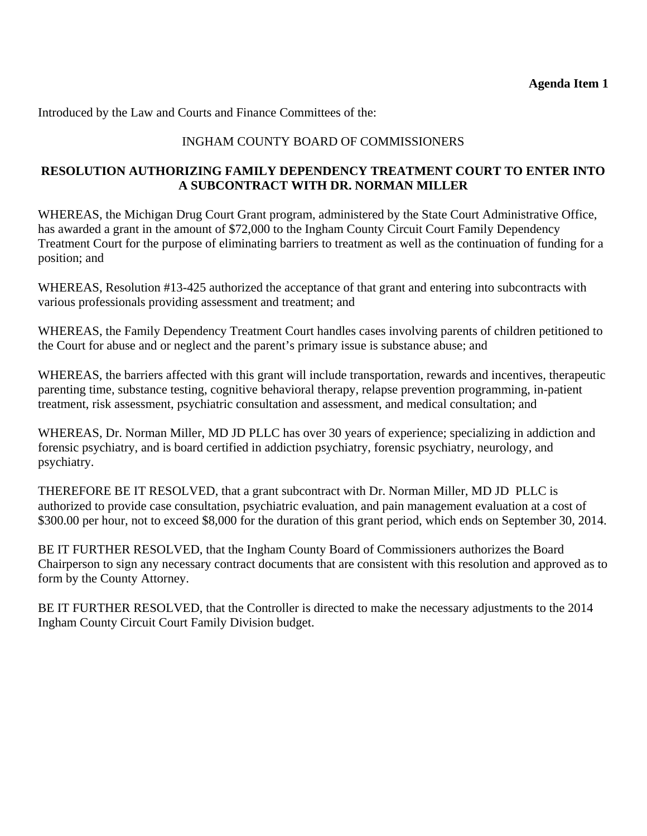Introduced by the Law and Courts and Finance Committees of the:

# INGHAM COUNTY BOARD OF COMMISSIONERS

# **RESOLUTION AUTHORIZING FAMILY DEPENDENCY TREATMENT COURT TO ENTER INTO A SUBCONTRACT WITH DR. NORMAN MILLER**

WHEREAS, the Michigan Drug Court Grant program, administered by the State Court Administrative Office, has awarded a grant in the amount of \$72,000 to the Ingham County Circuit Court Family Dependency Treatment Court for the purpose of eliminating barriers to treatment as well as the continuation of funding for a position; and

WHEREAS, Resolution #13-425 authorized the acceptance of that grant and entering into subcontracts with various professionals providing assessment and treatment; and

WHEREAS, the Family Dependency Treatment Court handles cases involving parents of children petitioned to the Court for abuse and or neglect and the parent's primary issue is substance abuse; and

WHEREAS, the barriers affected with this grant will include transportation, rewards and incentives, therapeutic parenting time, substance testing, cognitive behavioral therapy, relapse prevention programming, in-patient treatment, risk assessment, psychiatric consultation and assessment, and medical consultation; and

WHEREAS, Dr. Norman Miller, MD JD PLLC has over 30 years of experience; specializing in addiction and forensic psychiatry, and is board certified in addiction psychiatry, forensic psychiatry, neurology, and psychiatry.

THEREFORE BE IT RESOLVED, that a grant subcontract with Dr. Norman Miller, MD JD PLLC is authorized to provide case consultation, psychiatric evaluation, and pain management evaluation at a cost of \$300.00 per hour, not to exceed \$8,000 for the duration of this grant period, which ends on September 30, 2014.

BE IT FURTHER RESOLVED, that the Ingham County Board of Commissioners authorizes the Board Chairperson to sign any necessary contract documents that are consistent with this resolution and approved as to form by the County Attorney.

BE IT FURTHER RESOLVED, that the Controller is directed to make the necessary adjustments to the 2014 Ingham County Circuit Court Family Division budget.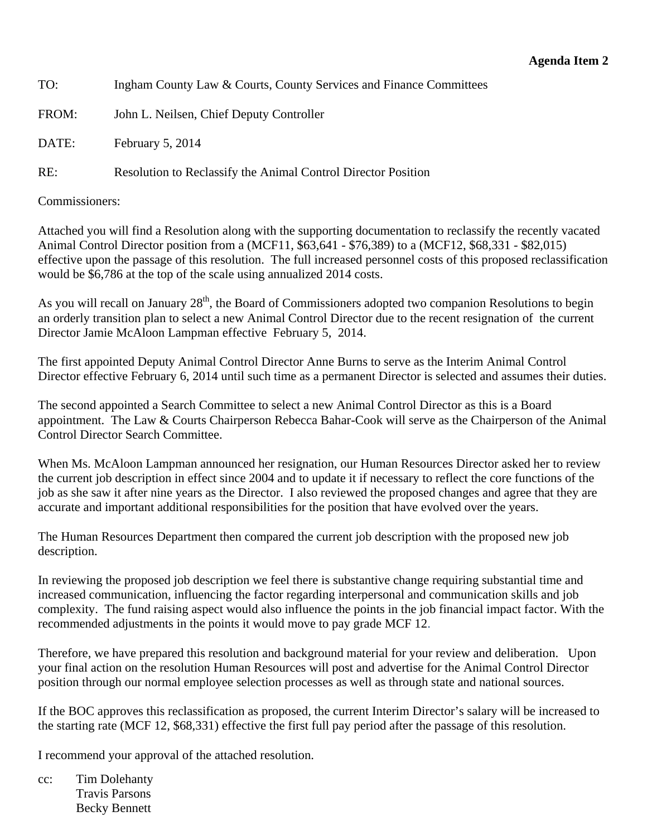<span id="page-9-0"></span>TO: Ingham County Law & Courts, County Services and Finance Committees

FROM: John L. Neilsen, Chief Deputy Controller

DATE: February 5, 2014

RE: Resolution to Reclassify the Animal Control Director Position

Commissioners:

Attached you will find a Resolution along with the supporting documentation to reclassify the recently vacated Animal Control Director position from a (MCF11, \$63,641 - \$76,389) to a (MCF12, \$68,331 - \$82,015) effective upon the passage of this resolution. The full increased personnel costs of this proposed reclassification would be \$6,786 at the top of the scale using annualized 2014 costs.

As you will recall on January 28<sup>th</sup>, the Board of Commissioners adopted two companion Resolutions to begin an orderly transition plan to select a new Animal Control Director due to the recent resignation of the current Director Jamie McAloon Lampman effective February 5, 2014.

The first appointed Deputy Animal Control Director Anne Burns to serve as the Interim Animal Control Director effective February 6, 2014 until such time as a permanent Director is selected and assumes their duties.

The second appointed a Search Committee to select a new Animal Control Director as this is a Board appointment. The Law & Courts Chairperson Rebecca Bahar-Cook will serve as the Chairperson of the Animal Control Director Search Committee.

When Ms. McAloon Lampman announced her resignation, our Human Resources Director asked her to review the current job description in effect since 2004 and to update it if necessary to reflect the core functions of the job as she saw it after nine years as the Director. I also reviewed the proposed changes and agree that they are accurate and important additional responsibilities for the position that have evolved over the years.

The Human Resources Department then compared the current job description with the proposed new job description.

In reviewing the proposed job description we feel there is substantive change requiring substantial time and increased communication, influencing the factor regarding interpersonal and communication skills and job complexity. The fund raising aspect would also influence the points in the job financial impact factor. With the recommended adjustments in the points it would move to pay grade MCF 12.

Therefore, we have prepared this resolution and background material for your review and deliberation. Upon your final action on the resolution Human Resources will post and advertise for the Animal Control Director position through our normal employee selection processes as well as through state and national sources.

If the BOC approves this reclassification as proposed, the current Interim Director's salary will be increased to the starting rate (MCF 12, \$68,331) effective the first full pay period after the passage of this resolution.

I recommend your approval of the attached resolution.

cc: Tim Dolehanty Travis Parsons Becky Bennett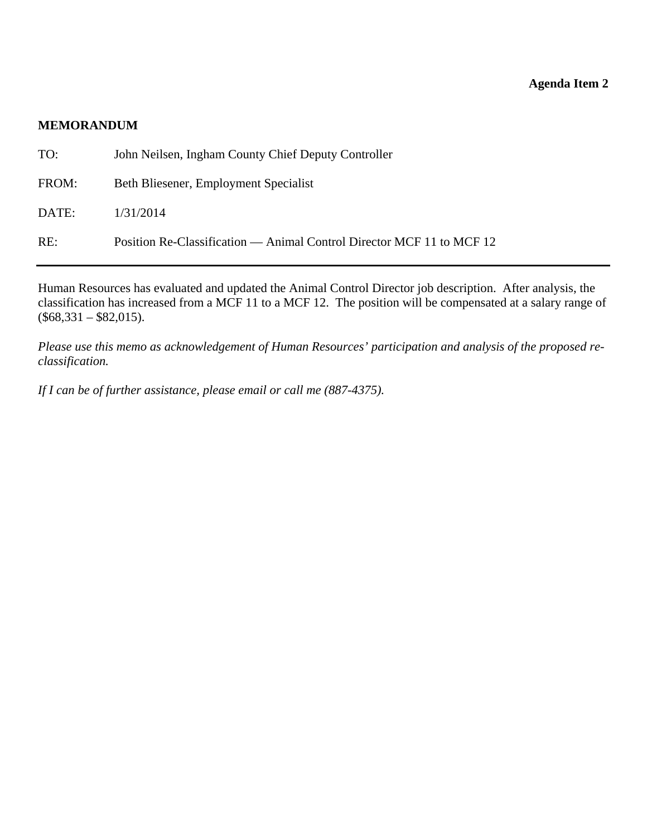#### **MEMORANDUM**

| TO:   | John Neilsen, Ingham County Chief Deputy Controller                   |
|-------|-----------------------------------------------------------------------|
| FROM: | Beth Bliesener, Employment Specialist                                 |
| DATE: | 1/31/2014                                                             |
| RE:   | Position Re-Classification — Animal Control Director MCF 11 to MCF 12 |

Human Resources has evaluated and updated the Animal Control Director job description. After analysis, the classification has increased from a MCF 11 to a MCF 12. The position will be compensated at a salary range of  $($68,331 - $82,015).$ 

*Please use this memo as acknowledgement of Human Resources' participation and analysis of the proposed reclassification.* 

*If I can be of further assistance, please email or call me (887-4375).*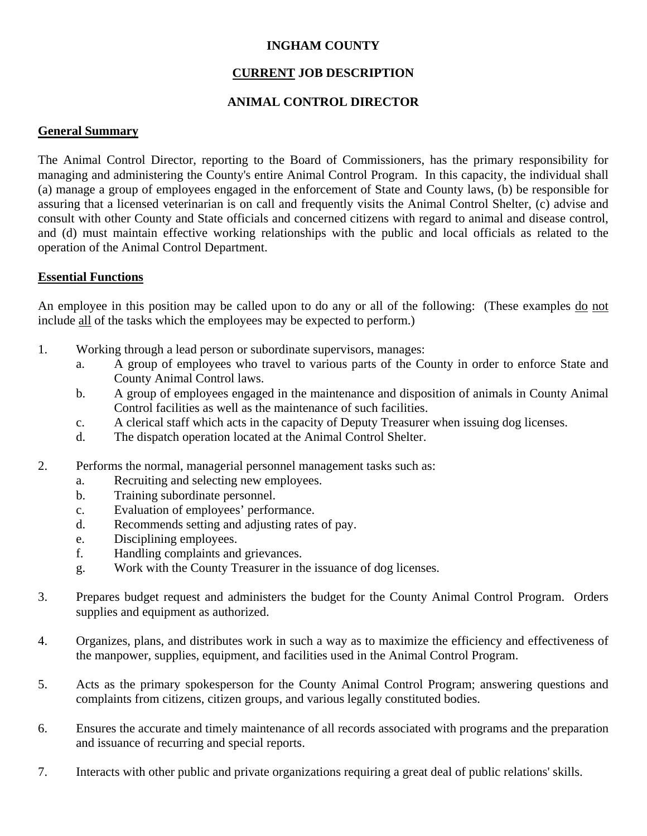# **INGHAM COUNTY**

# **CURRENT JOB DESCRIPTION**

# **ANIMAL CONTROL DIRECTOR**

#### **General Summary**

The Animal Control Director, reporting to the Board of Commissioners, has the primary responsibility for managing and administering the County's entire Animal Control Program. In this capacity, the individual shall (a) manage a group of employees engaged in the enforcement of State and County laws, (b) be responsible for assuring that a licensed veterinarian is on call and frequently visits the Animal Control Shelter, (c) advise and consult with other County and State officials and concerned citizens with regard to animal and disease control, and (d) must maintain effective working relationships with the public and local officials as related to the operation of the Animal Control Department.

#### **Essential Functions**

An employee in this position may be called upon to do any or all of the following: (These examples do not include all of the tasks which the employees may be expected to perform.)

- 1. Working through a lead person or subordinate supervisors, manages:
	- a. A group of employees who travel to various parts of the County in order to enforce State and County Animal Control laws.
	- b. A group of employees engaged in the maintenance and disposition of animals in County Animal Control facilities as well as the maintenance of such facilities.
	- c. A clerical staff which acts in the capacity of Deputy Treasurer when issuing dog licenses.
	- d. The dispatch operation located at the Animal Control Shelter.
- 2. Performs the normal, managerial personnel management tasks such as:
	- a. Recruiting and selecting new employees.
	- b. Training subordinate personnel.
	- c. Evaluation of employees' performance.
	- d. Recommends setting and adjusting rates of pay.
	- e. Disciplining employees.
	- f. Handling complaints and grievances.
	- g. Work with the County Treasurer in the issuance of dog licenses.
- 3. Prepares budget request and administers the budget for the County Animal Control Program. Orders supplies and equipment as authorized.
- 4. Organizes, plans, and distributes work in such a way as to maximize the efficiency and effectiveness of the manpower, supplies, equipment, and facilities used in the Animal Control Program.
- 5. Acts as the primary spokesperson for the County Animal Control Program; answering questions and complaints from citizens, citizen groups, and various legally constituted bodies.
- 6. Ensures the accurate and timely maintenance of all records associated with programs and the preparation and issuance of recurring and special reports.
- 7. Interacts with other public and private organizations requiring a great deal of public relations' skills.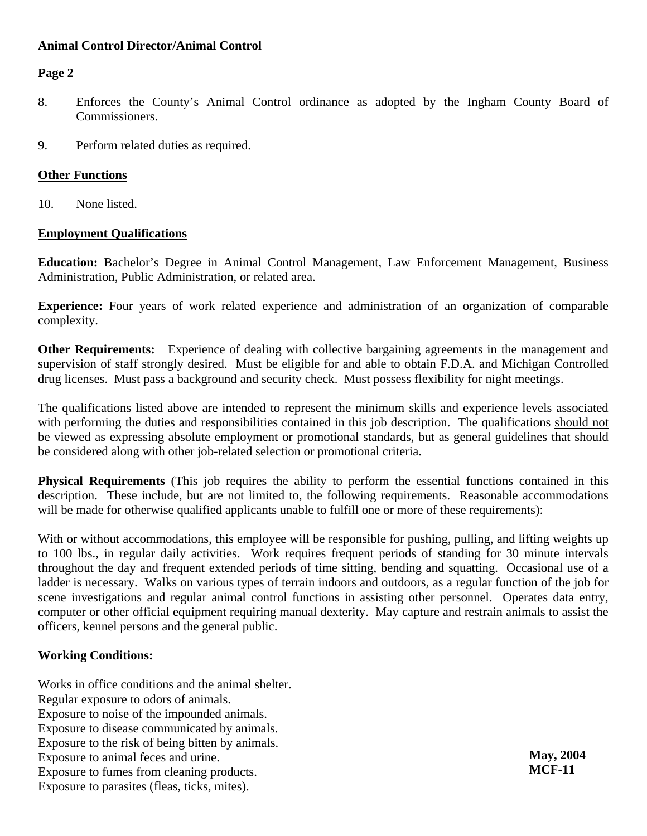# **Animal Control Director/Animal Control**

# **Page 2**

- 8. Enforces the County's Animal Control ordinance as adopted by the Ingham County Board of Commissioners.
- 9. Perform related duties as required.

#### **Other Functions**

10. None listed.

#### **Employment Qualifications**

**Education:** Bachelor's Degree in Animal Control Management, Law Enforcement Management, Business Administration, Public Administration, or related area.

**Experience:** Four years of work related experience and administration of an organization of comparable complexity.

**Other Requirements:** Experience of dealing with collective bargaining agreements in the management and supervision of staff strongly desired. Must be eligible for and able to obtain F.D.A. and Michigan Controlled drug licenses. Must pass a background and security check. Must possess flexibility for night meetings.

The qualifications listed above are intended to represent the minimum skills and experience levels associated with performing the duties and responsibilities contained in this job description. The qualifications should not be viewed as expressing absolute employment or promotional standards, but as general guidelines that should be considered along with other job-related selection or promotional criteria.

**Physical Requirements** (This job requires the ability to perform the essential functions contained in this description. These include, but are not limited to, the following requirements. Reasonable accommodations will be made for otherwise qualified applicants unable to fulfill one or more of these requirements):

With or without accommodations, this employee will be responsible for pushing, pulling, and lifting weights up to 100 lbs., in regular daily activities. Work requires frequent periods of standing for 30 minute intervals throughout the day and frequent extended periods of time sitting, bending and squatting. Occasional use of a ladder is necessary. Walks on various types of terrain indoors and outdoors, as a regular function of the job for scene investigations and regular animal control functions in assisting other personnel. Operates data entry, computer or other official equipment requiring manual dexterity. May capture and restrain animals to assist the officers, kennel persons and the general public.

#### **Working Conditions:**

Works in office conditions and the animal shelter. Regular exposure to odors of animals. Exposure to noise of the impounded animals. Exposure to disease communicated by animals. Exposure to the risk of being bitten by animals. Exposure to animal feces and urine. Exposure to fumes from cleaning products. Exposure to parasites (fleas, ticks, mites).

**May, 2004 MCF-11**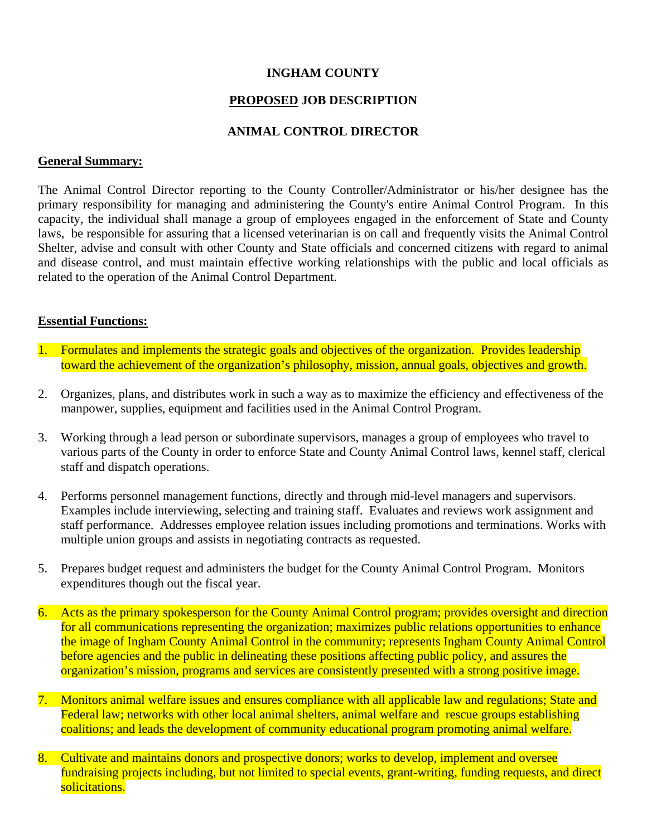# **INGHAM COUNTY**

#### **PROPOSED JOB DESCRIPTION**

### **ANIMAL CONTROL DIRECTOR**

#### **General Summary:**

The Animal Control Director reporting to the County Controller/Administrator or his/her designee has the primary responsibility for managing and administering the County's entire Animal Control Program. In this capacity, the individual shall manage a group of employees engaged in the enforcement of State and County laws, be responsible for assuring that a licensed veterinarian is on call and frequently visits the Animal Control Shelter, advise and consult with other County and State officials and concerned citizens with regard to animal and disease control, and must maintain effective working relationships with the public and local officials as related to the operation of the Animal Control Department.

#### **Essential Functions:**

- 1. Formulates and implements the strategic goals and objectives of the organization. Provides leadership toward the achievement of the organization's philosophy, mission, annual goals, objectives and growth.
- 2. Organizes, plans, and distributes work in such a way as to maximize the efficiency and effectiveness of the manpower, supplies, equipment and facilities used in the Animal Control Program.
- 3. Working through a lead person or subordinate supervisors, manages a group of employees who travel to various parts of the County in order to enforce State and County Animal Control laws, kennel staff, clerical staff and dispatch operations.
- 4. Performs personnel management functions, directly and through mid-level managers and supervisors. Examples include interviewing, selecting and training staff. Evaluates and reviews work assignment and staff performance. Addresses employee relation issues including promotions and terminations. Works with multiple union groups and assists in negotiating contracts as requested.
- 5. Prepares budget request and administers the budget for the County Animal Control Program. Monitors expenditures though out the fiscal year.
- 6. Acts as the primary spokesperson for the County Animal Control program; provides oversight and direction for all communications representing the organization; maximizes public relations opportunities to enhance the image of Ingham County Animal Control in the community; represents Ingham County Animal Control before agencies and the public in delineating these positions affecting public policy, and assures the organization's mission, programs and services are consistently presented with a strong positive image.
- 7. Monitors animal welfare issues and ensures compliance with all applicable law and regulations; State and Federal law; networks with other local animal shelters, animal welfare and rescue groups establishing coalitions; and leads the development of community educational program promoting animal welfare.
- 8. Cultivate and maintains donors and prospective donors; works to develop, implement and oversee fundraising projects including, but not limited to special events, grant-writing, funding requests, and direct solicitations.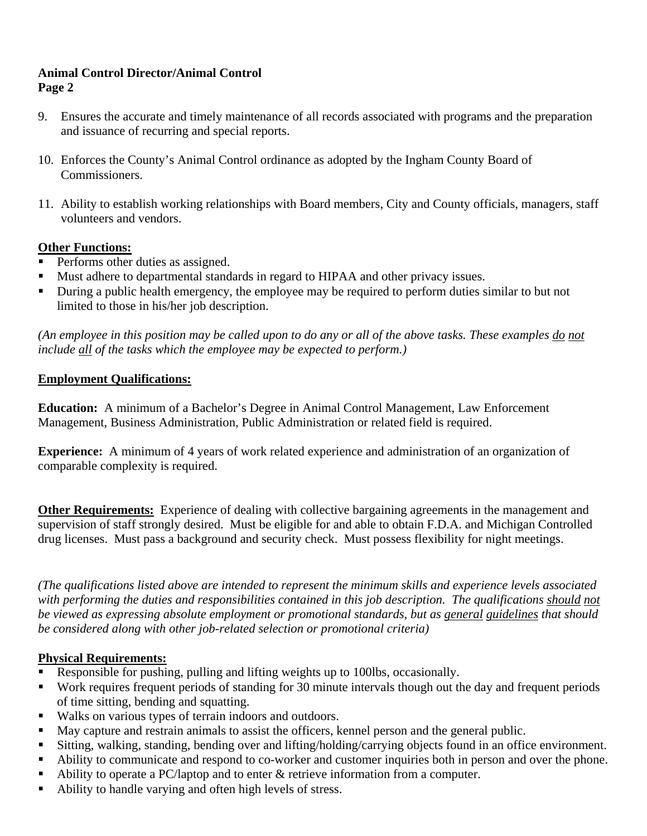# **Animal Control Director/Animal Control Page 2**

- 9. Ensures the accurate and timely maintenance of all records associated with programs and the preparation and issuance of recurring and special reports.
- 10. Enforces the County's Animal Control ordinance as adopted by the Ingham County Board of Commissioners.
- 11. Ability to establish working relationships with Board members, City and County officials, managers, staff volunteers and vendors.

# **Other Functions:**

- Performs other duties as assigned.
- Must adhere to departmental standards in regard to HIPAA and other privacy issues.
- During a public health emergency, the employee may be required to perform duties similar to but not limited to those in his/her job description.

*(An employee in this position may be called upon to do any or all of the above tasks. These examples do not include all of the tasks which the employee may be expected to perform.)* 

# **Employment Qualifications:**

**Education:** A minimum of a Bachelor's Degree in Animal Control Management, Law Enforcement Management, Business Administration, Public Administration or related field is required.

**Experience:** A minimum of 4 years of work related experience and administration of an organization of comparable complexity is required.

**Other Requirements:** Experience of dealing with collective bargaining agreements in the management and supervision of staff strongly desired. Must be eligible for and able to obtain F.D.A. and Michigan Controlled drug licenses. Must pass a background and security check. Must possess flexibility for night meetings.

*(The qualifications listed above are intended to represent the minimum skills and experience levels associated with performing the duties and responsibilities contained in this job description. The qualifications should not be viewed as expressing absolute employment or promotional standards, but as general guidelines that should be considered along with other job-related selection or promotional criteria)* 

# **Physical Requirements:**

- Responsible for pushing, pulling and lifting weights up to 100lbs, occasionally.
- Work requires frequent periods of standing for 30 minute intervals though out the day and frequent periods of time sitting, bending and squatting.
- Walks on various types of terrain indoors and outdoors.
- May capture and restrain animals to assist the officers, kennel person and the general public.
- Sitting, walking, standing, bending over and lifting/holding/carrying objects found in an office environment.
- Ability to communicate and respond to co-worker and customer inquiries both in person and over the phone.
- Ability to operate a PC/laptop and to enter & retrieve information from a computer.
- Ability to handle varying and often high levels of stress.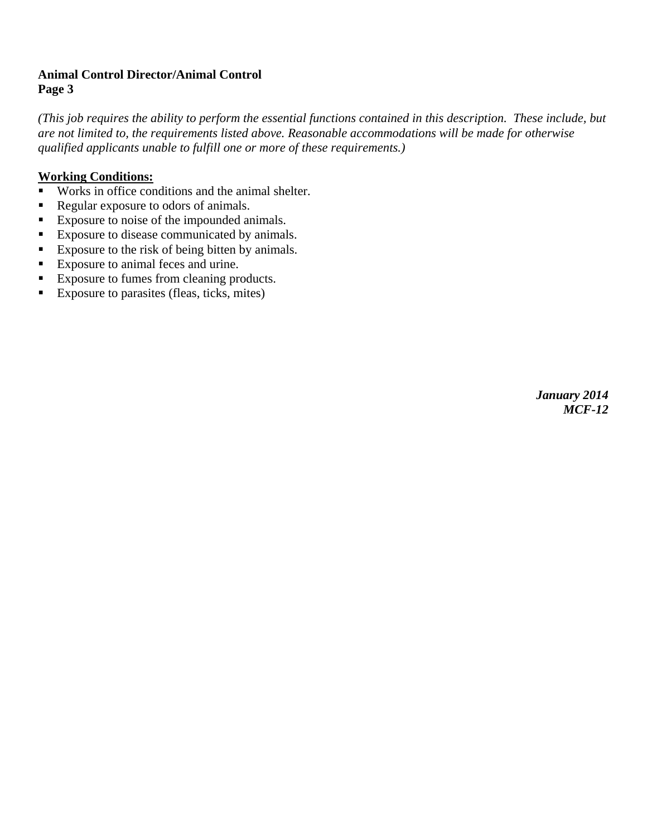# **Animal Control Director/Animal Control Page 3**

*(This job requires the ability to perform the essential functions contained in this description. These include, but are not limited to, the requirements listed above. Reasonable accommodations will be made for otherwise qualified applicants unable to fulfill one or more of these requirements.)*

# **Working Conditions:**

- Works in office conditions and the animal shelter.
- Regular exposure to odors of animals.
- Exposure to noise of the impounded animals.
- Exposure to disease communicated by animals.
- Exposure to the risk of being bitten by animals.
- Exposure to animal feces and urine.
- Exposure to fumes from cleaning products.
- Exposure to parasites (fleas, ticks, mites)

*January 2014 MCF-12*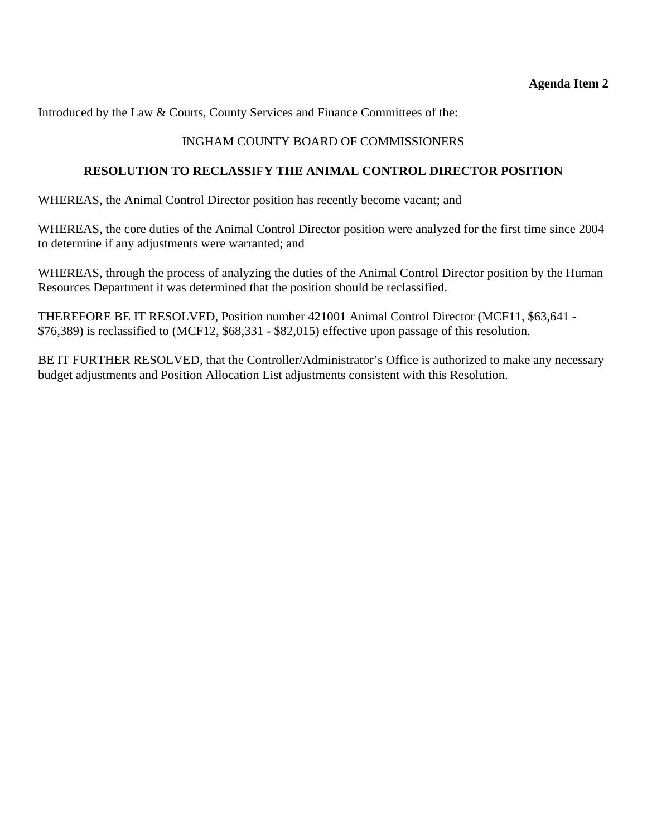Introduced by the Law & Courts, County Services and Finance Committees of the:

# INGHAM COUNTY BOARD OF COMMISSIONERS

# **RESOLUTION TO RECLASSIFY THE ANIMAL CONTROL DIRECTOR POSITION**

WHEREAS, the Animal Control Director position has recently become vacant; and

WHEREAS, the core duties of the Animal Control Director position were analyzed for the first time since 2004 to determine if any adjustments were warranted; and

WHEREAS, through the process of analyzing the duties of the Animal Control Director position by the Human Resources Department it was determined that the position should be reclassified.

THEREFORE BE IT RESOLVED, Position number 421001 Animal Control Director (MCF11, \$63,641 - \$76,389) is reclassified to (MCF12, \$68,331 - \$82,015) effective upon passage of this resolution.

BE IT FURTHER RESOLVED, that the Controller/Administrator's Office is authorized to make any necessary budget adjustments and Position Allocation List adjustments consistent with this Resolution.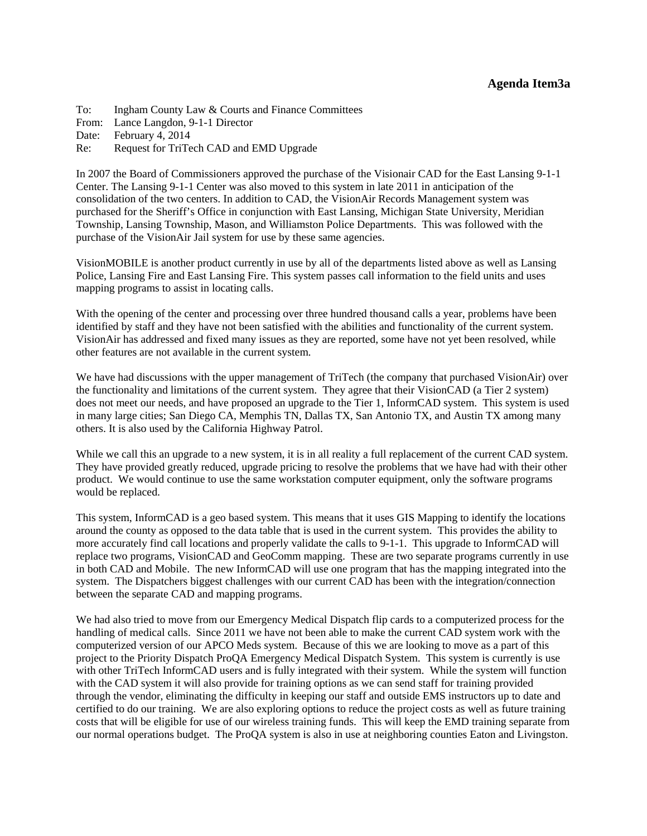#### **Agenda Item3a**

<span id="page-17-0"></span>To: Ingham County Law & Courts and Finance Committees From: Lance Langdon, 9-1-1 Director Date: February 4, 2014 Re: Request for TriTech CAD and EMD Upgrade

In 2007 the Board of Commissioners approved the purchase of the Visionair CAD for the East Lansing 9-1-1 Center. The Lansing 9-1-1 Center was also moved to this system in late 2011 in anticipation of the consolidation of the two centers. In addition to CAD, the VisionAir Records Management system was purchased for the Sheriff's Office in conjunction with East Lansing, Michigan State University, Meridian Township, Lansing Township, Mason, and Williamston Police Departments. This was followed with the purchase of the VisionAir Jail system for use by these same agencies.

VisionMOBILE is another product currently in use by all of the departments listed above as well as Lansing Police, Lansing Fire and East Lansing Fire. This system passes call information to the field units and uses mapping programs to assist in locating calls.

With the opening of the center and processing over three hundred thousand calls a year, problems have been identified by staff and they have not been satisfied with the abilities and functionality of the current system. VisionAir has addressed and fixed many issues as they are reported, some have not yet been resolved, while other features are not available in the current system.

We have had discussions with the upper management of TriTech (the company that purchased VisionAir) over the functionality and limitations of the current system. They agree that their VisionCAD (a Tier 2 system) does not meet our needs, and have proposed an upgrade to the Tier 1, InformCAD system. This system is used in many large cities; San Diego CA, Memphis TN, Dallas TX, San Antonio TX, and Austin TX among many others. It is also used by the California Highway Patrol.

While we call this an upgrade to a new system, it is in all reality a full replacement of the current CAD system. They have provided greatly reduced, upgrade pricing to resolve the problems that we have had with their other product. We would continue to use the same workstation computer equipment, only the software programs would be replaced.

This system, InformCAD is a geo based system. This means that it uses GIS Mapping to identify the locations around the county as opposed to the data table that is used in the current system. This provides the ability to more accurately find call locations and properly validate the calls to 9-1-1. This upgrade to InformCAD will replace two programs, VisionCAD and GeoComm mapping. These are two separate programs currently in use in both CAD and Mobile. The new InformCAD will use one program that has the mapping integrated into the system. The Dispatchers biggest challenges with our current CAD has been with the integration/connection between the separate CAD and mapping programs.

We had also tried to move from our Emergency Medical Dispatch flip cards to a computerized process for the handling of medical calls. Since 2011 we have not been able to make the current CAD system work with the computerized version of our APCO Meds system. Because of this we are looking to move as a part of this project to the Priority Dispatch ProQA Emergency Medical Dispatch System. This system is currently is use with other TriTech InformCAD users and is fully integrated with their system. While the system will function with the CAD system it will also provide for training options as we can send staff for training provided through the vendor, eliminating the difficulty in keeping our staff and outside EMS instructors up to date and certified to do our training. We are also exploring options to reduce the project costs as well as future training costs that will be eligible for use of our wireless training funds. This will keep the EMD training separate from our normal operations budget. The ProQA system is also in use at neighboring counties Eaton and Livingston.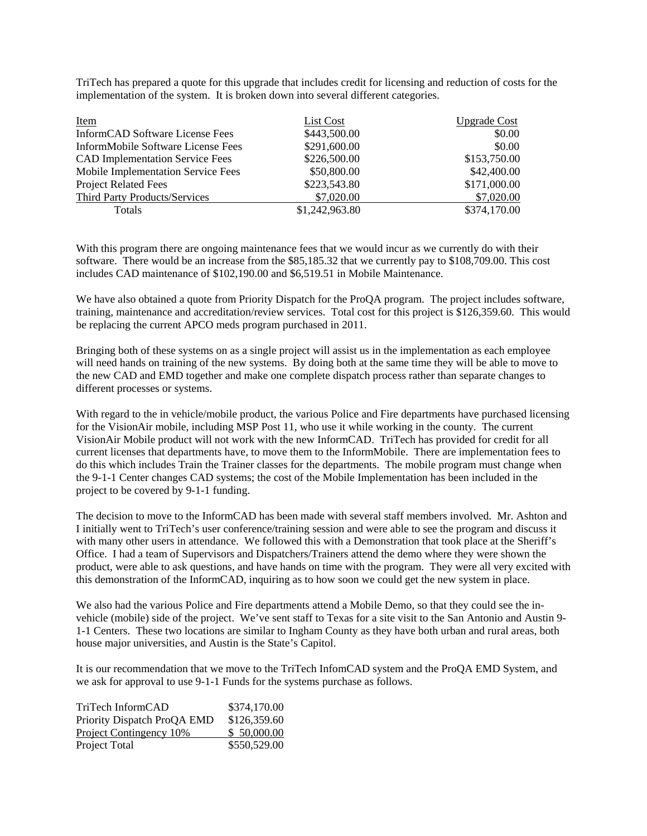TriTech has prepared a quote for this upgrade that includes credit for licensing and reduction of costs for the implementation of the system. It is broken down into several different categories.

| <u>Item</u>                            | List Cost      | <b>Upgrade Cost</b> |
|----------------------------------------|----------------|---------------------|
| InformCAD Software License Fees        | \$443,500.00   | \$0.00              |
| InformMobile Software License Fees     | \$291,600.00   | \$0.00              |
| <b>CAD Implementation Service Fees</b> | \$226,500.00   | \$153,750.00        |
| Mobile Implementation Service Fees     | \$50,800.00    | \$42,400.00         |
| <b>Project Related Fees</b>            | \$223,543.80   | \$171,000.00        |
| <b>Third Party Products/Services</b>   | \$7,020.00     | \$7,020.00          |
| <b>Totals</b>                          | \$1,242,963.80 | \$374,170.00        |

With this program there are ongoing maintenance fees that we would incur as we currently do with their software. There would be an increase from the \$85,185.32 that we currently pay to \$108,709.00. This cost includes CAD maintenance of \$102,190.00 and \$6,519.51 in Mobile Maintenance.

We have also obtained a quote from Priority Dispatch for the ProQA program. The project includes software, training, maintenance and accreditation/review services. Total cost for this project is \$126,359.60. This would be replacing the current APCO meds program purchased in 2011.

Bringing both of these systems on as a single project will assist us in the implementation as each employee will need hands on training of the new systems. By doing both at the same time they will be able to move to the new CAD and EMD together and make one complete dispatch process rather than separate changes to different processes or systems.

With regard to the in vehicle/mobile product, the various Police and Fire departments have purchased licensing for the VisionAir mobile, including MSP Post 11, who use it while working in the county. The current VisionAir Mobile product will not work with the new InformCAD. TriTech has provided for credit for all current licenses that departments have, to move them to the InformMobile. There are implementation fees to do this which includes Train the Trainer classes for the departments. The mobile program must change when the 9-1-1 Center changes CAD systems; the cost of the Mobile Implementation has been included in the project to be covered by 9-1-1 funding.

The decision to move to the InformCAD has been made with several staff members involved. Mr. Ashton and I initially went to TriTech's user conference/training session and were able to see the program and discuss it with many other users in attendance. We followed this with a Demonstration that took place at the Sheriff's Office. I had a team of Supervisors and Dispatchers/Trainers attend the demo where they were shown the product, were able to ask questions, and have hands on time with the program. They were all very excited with this demonstration of the InformCAD, inquiring as to how soon we could get the new system in place.

We also had the various Police and Fire departments attend a Mobile Demo, so that they could see the invehicle (mobile) side of the project. We've sent staff to Texas for a site visit to the San Antonio and Austin 9- 1-1 Centers. These two locations are similar to Ingham County as they have both urban and rural areas, both house major universities, and Austin is the State's Capitol.

It is our recommendation that we move to the TriTech InfomCAD system and the ProQA EMD System, and we ask for approval to use 9-1-1 Funds for the systems purchase as follows.

| TriTech InformCAD           | \$374,170.00 |
|-----------------------------|--------------|
| Priority Dispatch ProQA EMD | \$126,359.60 |
| Project Contingency 10%     | \$50,000.00  |
| Project Total               | \$550,529.00 |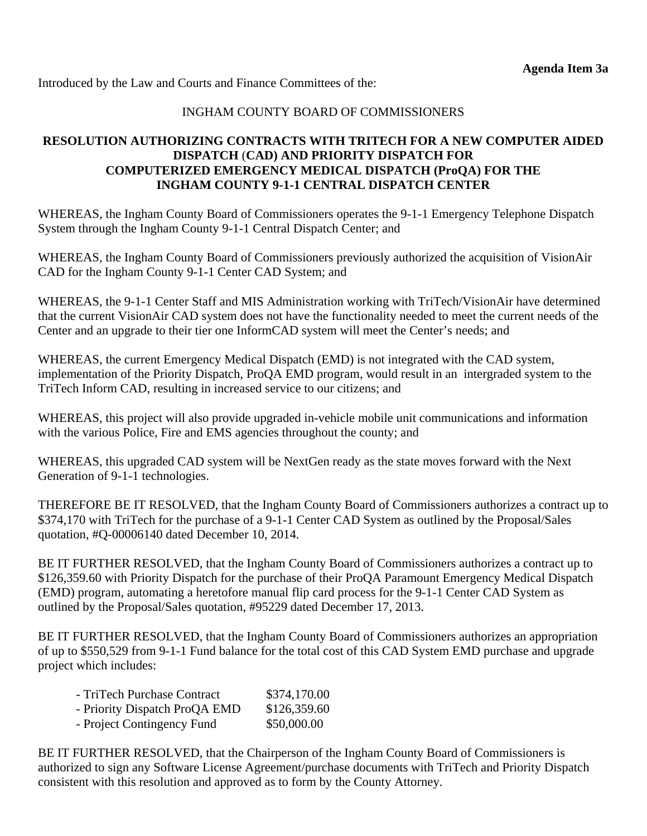Introduced by the Law and Courts and Finance Committees of the:

# INGHAM COUNTY BOARD OF COMMISSIONERS

# **RESOLUTION AUTHORIZING CONTRACTS WITH TRITECH FOR A NEW COMPUTER AIDED DISPATCH** (**CAD) AND PRIORITY DISPATCH FOR COMPUTERIZED EMERGENCY MEDICAL DISPATCH (ProQA) FOR THE INGHAM COUNTY 9-1-1 CENTRAL DISPATCH CENTER**

WHEREAS, the Ingham County Board of Commissioners operates the 9-1-1 Emergency Telephone Dispatch System through the Ingham County 9-1-1 Central Dispatch Center; and

WHEREAS, the Ingham County Board of Commissioners previously authorized the acquisition of VisionAir CAD for the Ingham County 9-1-1 Center CAD System; and

WHEREAS, the 9-1-1 Center Staff and MIS Administration working with TriTech/VisionAir have determined that the current VisionAir CAD system does not have the functionality needed to meet the current needs of the Center and an upgrade to their tier one InformCAD system will meet the Center's needs; and

WHEREAS, the current Emergency Medical Dispatch (EMD) is not integrated with the CAD system, implementation of the Priority Dispatch, ProQA EMD program, would result in an intergraded system to the TriTech Inform CAD, resulting in increased service to our citizens; and

WHEREAS, this project will also provide upgraded in-vehicle mobile unit communications and information with the various Police, Fire and EMS agencies throughout the county; and

WHEREAS, this upgraded CAD system will be NextGen ready as the state moves forward with the Next Generation of 9-1-1 technologies.

THEREFORE BE IT RESOLVED, that the Ingham County Board of Commissioners authorizes a contract up to \$374,170 with TriTech for the purchase of a 9-1-1 Center CAD System as outlined by the Proposal/Sales quotation, #Q-00006140 dated December 10, 2014.

BE IT FURTHER RESOLVED, that the Ingham County Board of Commissioners authorizes a contract up to \$126,359.60 with Priority Dispatch for the purchase of their ProQA Paramount Emergency Medical Dispatch (EMD) program, automating a heretofore manual flip card process for the 9-1-1 Center CAD System as outlined by the Proposal/Sales quotation, #95229 dated December 17, 2013.

BE IT FURTHER RESOLVED, that the Ingham County Board of Commissioners authorizes an appropriation of up to \$550,529 from 9-1-1 Fund balance for the total cost of this CAD System EMD purchase and upgrade project which includes:

| - TriTech Purchase Contract   | \$374,170.00 |
|-------------------------------|--------------|
| - Priority Dispatch ProQA EMD | \$126,359.60 |
| - Project Contingency Fund    | \$50,000.00  |

BE IT FURTHER RESOLVED, that the Chairperson of the Ingham County Board of Commissioners is authorized to sign any Software License Agreement/purchase documents with TriTech and Priority Dispatch consistent with this resolution and approved as to form by the County Attorney.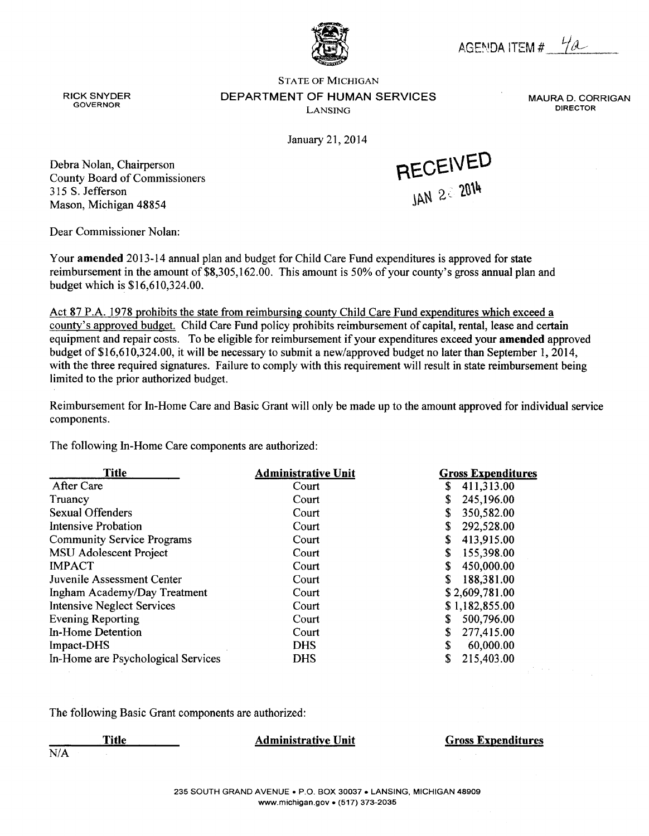AGENDA ITEM #  $\frac{1}{2}$ 

**MAURA D. CORRIGAN** 

**DIRECTOR** 

**RICK SNYDER GOVERNOR** 

**STATE OF MICHIGAN** DEPARTMENT OF HUMAN SERVICES LANSING

January 21, 2014



Debra Nolan, Chairperson **County Board of Commissioners** 315 S. Jefferson Mason, Michigan 48854

Dear Commissioner Nolan:

Your amended 2013-14 annual plan and budget for Child Care Fund expenditures is approved for state reimbursement in the amount of \$8,305,162.00. This amount is 50% of your county's gross annual plan and budget which is \$16,610,324.00.

Act 87 P.A. 1978 prohibits the state from reimbursing county Child Care Fund expenditures which exceed a county's approved budget. Child Care Fund policy prohibits reimbursement of capital, rental, lease and certain equipment and repair costs. To be eligible for reimbursement if your expenditures exceed your amended approved budget of \$16,610,324.00, it will be necessary to submit a new/approved budget no later than September 1, 2014, with the three required signatures. Failure to comply with this requirement will result in state reimbursement being limited to the prior authorized budget.

Reimbursement for In-Home Care and Basic Grant will only be made up to the amount approved for individual service components.

The following In-Home Care components are authorized:

| <b>Title</b>                       | <b>Administrative Unit</b> | <b>Gross Expenditures</b> |
|------------------------------------|----------------------------|---------------------------|
| After Care                         | Court                      | \$<br>411,313.00          |
| Truancy                            | Court                      | 245,196.00<br>\$          |
| <b>Sexual Offenders</b>            | Court                      | \$<br>350,582.00          |
| <b>Intensive Probation</b>         | Court                      | 292,528.00<br>\$          |
| <b>Community Service Programs</b>  | Court                      | \$<br>413,915.00          |
| MSU Adolescent Project             | Court                      | 155,398.00<br>\$          |
| <b>IMPACT</b>                      | Court                      | \$<br>450,000.00          |
| Juvenile Assessment Center         | Court                      | S<br>188,381.00           |
| Ingham Academy/Day Treatment       | Court                      | \$2,609,781.00            |
| <b>Intensive Neglect Services</b>  | Court                      | \$1,182,855.00            |
| <b>Evening Reporting</b>           | Court                      | \$<br>500,796.00          |
| In-Home Detention                  | Court                      | \$<br>277,415.00          |
| Impact-DHS                         | <b>DHS</b>                 | \$<br>60,000.00           |
| In-Home are Psychological Services | <b>DHS</b>                 | \$<br>215,403.00          |

The following Basic Grant components are authorized:

**Administrative Unit Gross Expenditures Title** 

 $\overline{N/A}$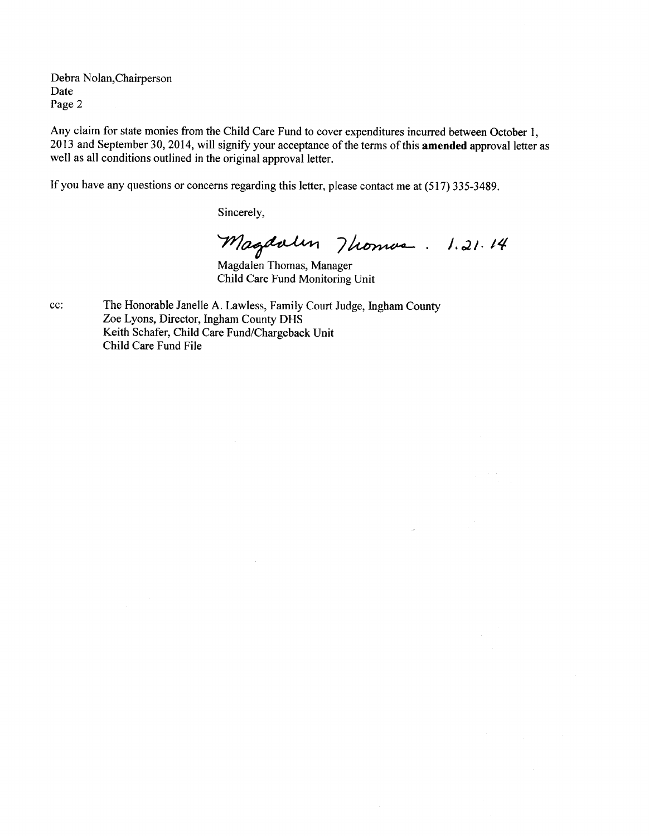Debra Nolan, Chairperson Date Page 2

Any claim for state monies from the Child Care Fund to cover expenditures incurred between October 1, 2013 and September 30, 2014, will signify your acceptance of the terms of this amended approval letter as well as all conditions outlined in the original approval letter.

If you have any questions or concerns regarding this letter, please contact me at (517) 335-3489.

Sincerely,

Magdalen 7 homan . 1.21.14

Child Care Fund Monitoring Unit

cc: The Honorable Janelle A. Lawless, Family Court Judge, Ingham County Zoe Lyons, Director, Ingham County DHS Keith Schafer, Child Care Fund/Chargeback Unit Child Care Fund File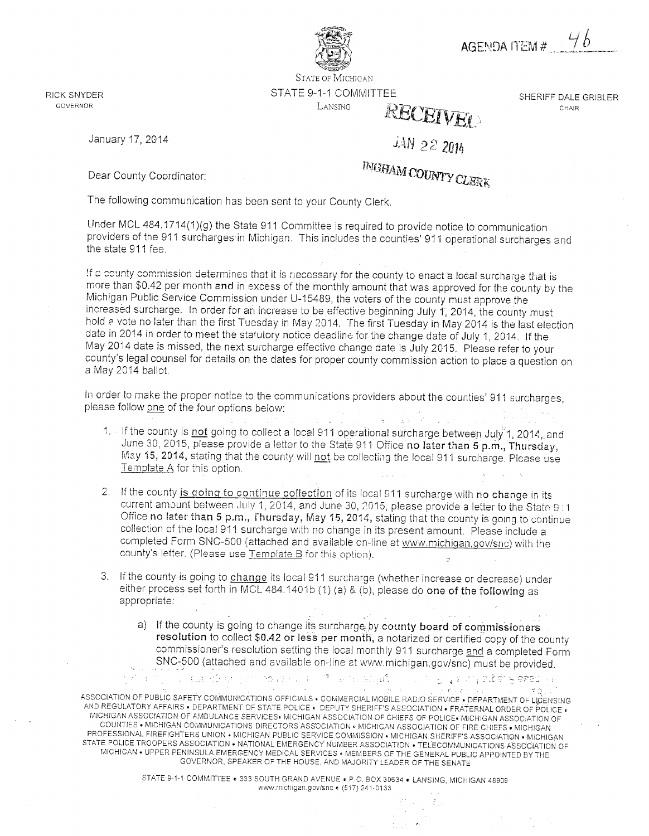AGENDA ITEM #

**STATE OF MICHIGAN** 

# STATE 9-1-1 COMMITTEE LANSING RECEIVED

JAN 22 2014

**INGHAM COUNTY CLERK** 

RICK SNYDER **GOVERNOR** 

SHERIFF DALE GRIBLER CHAIR

#### January 17, 2014

Dear County Coordinator:

The following communication has been sent to your County Clerk.

Under MCL 484.1714(1)(g) the State 911 Committee is required to provide notice to communication providers of the 911 surcharges in Michigan. This includes the counties' 911 operational surcharges and the state 911 fee.

If a county commission determines that it is necessary for the county to enact a local surcharge that is more than \$0.42 per month and in excess of the monthly amount that was approved for the county by the Michigan Public Service Commission under U-15489, the voters of the county must approve the increased surcharge. In order for an increase to be effective beginning July 1, 2014, the county must hold a vote no later than the first Tuesday in May 2014. The first Tuesday in May 2014 is the last election date in 2014 in order to meet the statutory notice deadline for the change date of July 1, 2014. If the May 2014 date is missed, the next surcharge effective change date is July 2015. Please refer to your county's legal counsel for details on the dates for proper county commission action to place a question on a May 2014 ballot.

In order to make the proper notice to the communications providers about the counties' 911 surcharges, please follow one of the four options below:

- 1. If the county is not going to collect a local 911 operational surcharge between July 1, 2014, and June 30, 2015, please provide a letter to the State 911 Office no later than 5 p.m., Thursday, May 15, 2014, stating that the county will not be collecting the local 911 surcharge. Please use Template A for this option.
- 2. If the county is going to continue collection of its local 911 surcharge with no change in its current amount between July 1, 2014, and June 30, 2015, please provide a letter to the State 9 i1 Office no later than 5 p.m., Thursday, May 15, 2014, stating that the county is going to continue collection of the local 911 surcharge with no change in its present amount. Please include a completed Form SNC-500 (attached and available on-line at www.michigan.gov/snc) with the county's letter. (Please use Template B for this option).
- 3. If the county is going to change its local 911 surcharge (whether increase or decrease) under either process set forth in MCL 484.1401b (1) (a) & (b), please do one of the following as appropriate:
	- a) If the county is going to change its surcharge by county board of commissioners resolution to collect \$0.42 or less per month, a notarized or certified copy of the county commissioner's resolution setting the local monthly 911 surcharge and a completed Form SNC-500 (attached and available on-line at www.michigan.gov/snc) must be provided.

in i gilgi zur hjælder gjested i sk

 $\boldsymbol{\mathcal{Z}}$ 

ASSOCIATION OF PUBLIC SAFETY COMMUNICATIONS OFFICIALS . COMMERCIAL MOBILE RADIO SERVICE . DEPARTMENT OF LICENSING AND REGULATORY AFFAIRS . DEPARTMENT OF STATE POLICE . DEPUTY SHERIFF'S ASSOCIATION . FRATERNAL ORDER OF POLICE . MICHIGAN ASSOCIATION OF AMBULANCE SERVICES. MICHIGAN ASSOCIATION OF CHIEFS OF POLICE. MICHIGAN ASSOCIATION OF COUNTIES . MICHIGAN COMMUNICATIONS DIRECTORS ASSOCIATION . MICHIGAN ASSOCIATION OF FIRE CHIEFS . MICHIGAN PROFESSIONAL FIREFIGHTERS UNION • MICHIGAN PUBLIC SERVICE COMMISSION • MICHIGAN SHERIFF'S ASSOCIATION • MICHIGAN STATE POLICE TROOPERS ASSOCIATION • NATIONAL EMERGENCY NUMBER ASSOCIATION • TELECOMMUNICATIONS ASSOCIATION OF MICHIGAN . UPPER PENINSULA EMERGENCY MEDICAL SERVICES . MEMBERS OF THE GENERAL PUBLIC APPOINTED BY THE GOVERNOR, SPEAKER OF THE HOUSE, AND MAJORITY LEADER OF THE SENATE

**Cups of a Pine Partner** 

STATE 9-1-1 COMMITTEE . 333 SOUTH GRAND AVENUE . P.O. BOX 30634 . LANSING, MICHIGAN 48909 www.michigan.gov/snc € (517) 241-0133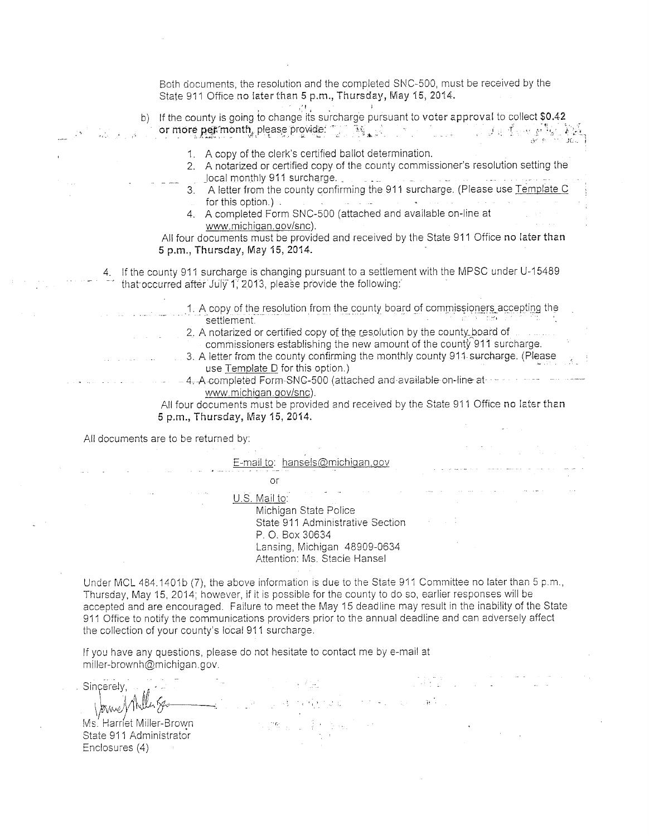Both documents, the resolution and the completed SNC-500, must be received by the State 911 Office no later than 5 p.m., Thursday, May 15, 2014.

| b) If the county is going to change its surcharge pursuant to voter approval to collect \$0.42<br>$\left\langle \begin{array}{cc} \mathbf{\bar{3}}_{\mathbf{\bar{3}}_{\mathbf{3}}}\end{array}\right\rangle _{\mathbf{3},\mathbf{4}}\mathbf{1}_{\mathbf{5}}$<br>or more per month, please provide:                                                                                                                                                                                                                                                                                                         | ្រទ្វទ្របស់វិ |
|-----------------------------------------------------------------------------------------------------------------------------------------------------------------------------------------------------------------------------------------------------------------------------------------------------------------------------------------------------------------------------------------------------------------------------------------------------------------------------------------------------------------------------------------------------------------------------------------------------------|---------------|
| 1. A copy of the clerk's certified ballot determination.<br>2. A notarized or certified copy of the county commissioner's resolution setting the<br>local monthly 911 surcharge.<br>3. A letter from the county confirming the 911 surcharge. (Please use Template C<br>for this option.).<br>4. A completed Form SNC-500 (attached and available on-line at<br>www.michigan.gov/snc).<br>All four documents must be provided and received by the State 911 Office no later than<br>5 p.m., Thursday, May 15, 2014.                                                                                       |               |
| 4. If the county 911 surcharge is changing pursuant to a settlement with the MPSC under U-15489<br>that occurred after July 1, 2013, please provide the following:                                                                                                                                                                                                                                                                                                                                                                                                                                        |               |
| 1. A copy of the resolution from the county board of commissioners accepting the<br>settlement.<br>2. A notarized or certified copy of the resolution by the county board of<br>commissioners establishing the new amount of the county 911 surcharge.<br>3. A letter from the county confirming the monthly county 911 surcharge. (Please<br>use Template D for this option.)<br>- 4, A completed Form SNC-500 (attached and available on-line at<br>www.michigan.gov/snc).<br>All four documents must be provided and received by the State 911 Office no later than<br>5 p.m., Thursday, May 15, 2014. |               |
| All documents are to be returned by:                                                                                                                                                                                                                                                                                                                                                                                                                                                                                                                                                                      |               |
| E-mail to: hansels@michigan.gov<br>or                                                                                                                                                                                                                                                                                                                                                                                                                                                                                                                                                                     |               |
| U.S. Mail to:<br>Michigan State Police<br>State 911 Administrative Section<br>P. O. Box 30634<br>Lansing, Michigan 48909-0634<br>Attention: Ms. Stacie Hansel                                                                                                                                                                                                                                                                                                                                                                                                                                             |               |
| Under MCL 484.1401b (7), the above information is due to the State 911 Committee no later than 5 p.m.,<br>Thursday, May 15, 2014; however, if it is possible for the county to do so, earlier responses will be<br>accepted and are encouraged. Failure to meet the May 15 deadline may result in the inability of the State<br>911 Office to notify the communications providers prior to the annual deadline and can adversely affect<br>the collection of your county's local 911 surcharge.                                                                                                           |               |

 $\mathcal{L}^{\text{max}}_{\text{max}}$ 

2452

 $\label{eq:2.1} \mathcal{F}^{(1)}\left(\mathcal{F}_{\mathcal{A}}\right)=\mathcal{F}_{\mathcal{A}}\left(\mathcal{F}_{\mathcal{A}}\right)=\mathcal{F}_{\mathcal{A}}\left(\mathcal{F}_{\mathcal{A}}\right)$ 

 $\sim$   $\sim$ 

If you have any questions, please do not hesitate to contact me by e-mail at miller-brownh@michigan.gov.

 $\sim$  7  $\mu_{\rm m}$ . Sincerely, Howe Miller Spo 2010年11月14日 17月10日  $\overline{a}$  $\label{eq:R1} \begin{split} \mathcal{C}_{\mathcal{S},\mathcal{S}}\mathcal{P} & \mathcal{C}_{\mathcal{S},\mathcal{S}}\mathcal{P}_{\mathcal{S},\mathcal{S}}\mathcal{P}_{\mathcal{S},\mathcal{S}}\mathcal{P}_{\mathcal{S},\mathcal{S}}\mathcal{P}_{\mathcal{S},\mathcal{S}}\mathcal{P}_{\mathcal{S},\mathcal{S}}\mathcal{P}_{\mathcal{S},\mathcal{S}}\mathcal{P}_{\mathcal{S},\mathcal{S}}\mathcal{P}_{\mathcal{S},\mathcal{S}}\mathcal{P}_{\mathcal{S},\mathcal{S}}\math$ Ms. Harriet Miller-Brown

State 911 Administrator Enclosures (4)

 $\sigma = \pi$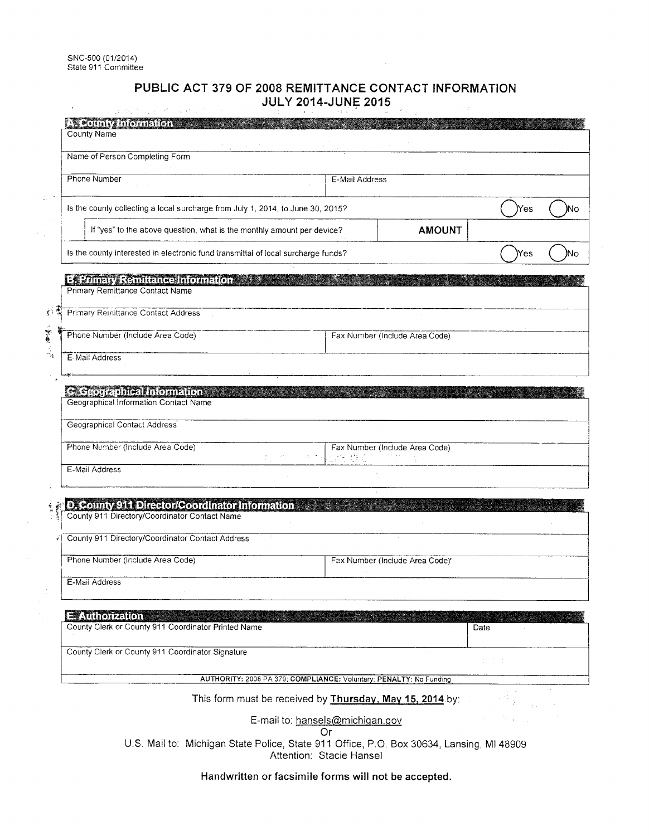÷,

 $\mathcal{V}_{\mathcal{A}}^{\mathcal{A}}$ 

 $\mathbb{Z}_2$ 

#### PUBLIC ACT 379 OF 2008 REMITTANCE CONTACT INFORMATION **JULY 2014-JUNE 2015**

| <b>A. County Information</b><br>County Name                                                     |                                                                    |      |    |
|-------------------------------------------------------------------------------------------------|--------------------------------------------------------------------|------|----|
| Name of Person Completing Form                                                                  |                                                                    |      |    |
| Phone Number                                                                                    | E-Mail Address                                                     |      |    |
| is the county collecting a local surcharge from July 1, 2014, to June 30, 2015?                 |                                                                    | Yes  | Nо |
| If "yes" to the above question, what is the monthly amount per device?                          | <b>AMOUNT</b>                                                      |      |    |
| Is the county interested in electronic fund transmittal of local surcharge funds?               |                                                                    | Yes  |    |
| Es Frimary Remittance Information<br>Primary Remittance Contact Name                            |                                                                    |      |    |
| <b>Primary Remittance Contact Address</b>                                                       |                                                                    |      |    |
| Phone Number (Include Area Code)                                                                | Fax Number (Include Area Code)                                     |      |    |
| E-Mail Address                                                                                  |                                                                    |      |    |
| Geographical Contact Address<br>Phone Number (Include Area Code)                                | Fax Number (Include Area Code)                                     |      |    |
| E-Mail Address                                                                                  | are di C                                                           |      |    |
|                                                                                                 |                                                                    |      |    |
| D. County 911 Director/Coordinator Information<br>County 911 Directory/Coordinator Contact Name |                                                                    |      |    |
| County 911 Directory/Coordinator Contact Address                                                |                                                                    |      |    |
| Phone Number (Include Area Code)                                                                | Fax Number (Include Area Code)*                                    |      |    |
| E-Mail Address                                                                                  |                                                                    |      |    |
| <b>E</b> Authorization<br>County Clerk or County 911 Coordinator Printed Name                   |                                                                    | Date |    |
| County Clerk or County 911 Coordinator Signature                                                |                                                                    |      |    |
|                                                                                                 | AUTHORITY: 2008 PA 379; COMPLIANCE: Voluntary; PENALTY: No Funding |      |    |
|                                                                                                 | This form must be received by Thursday, May 15, 2014 by:           |      |    |
|                                                                                                 | E-mail to: hansels@michigan.gov<br>Or                              |      |    |

U.S. Mail to: Michigan State Police, State 911 Office, P.O. Box 30634, Lansing, MI 48909 Attention: Stacie Hansel

#### Handwritten or facsimile forms will not be accepted.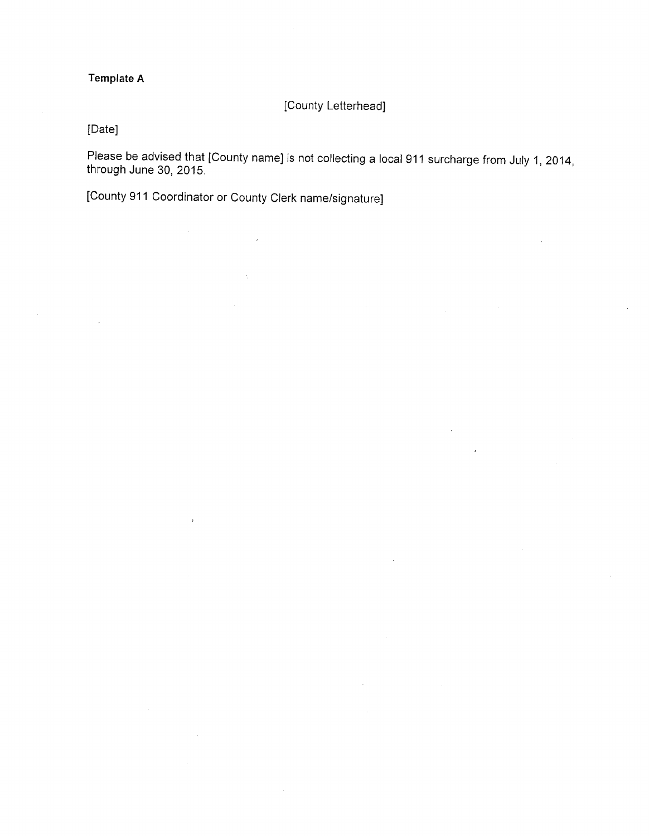# **Template A**

[County Letterhead]

[Date]

Please be advised that [County name] is not collecting a local 911 surcharge from July 1, 2014, through June 30, 2015.

[County 911 Coordinator or County Clerk name/signature]

 $\overline{\phantom{a}}$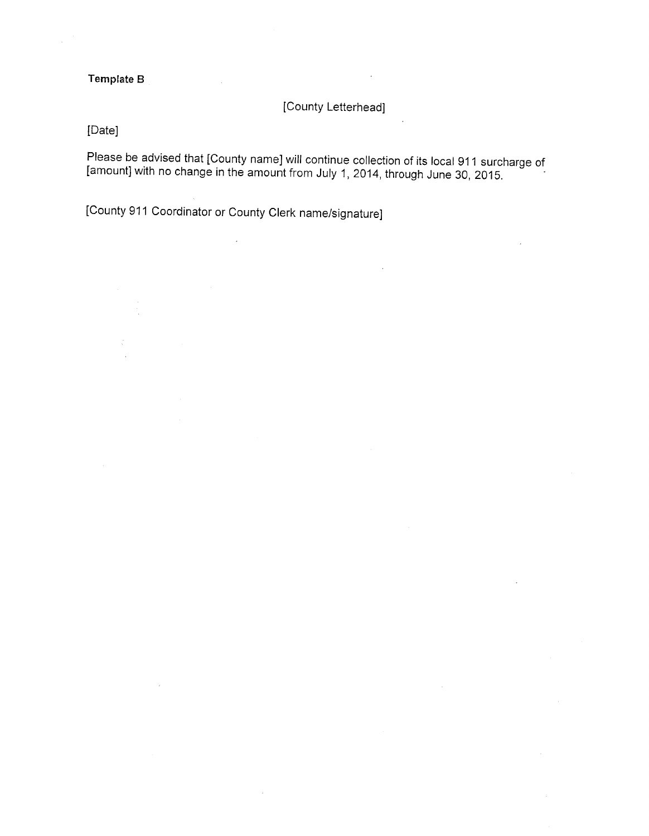# Template B

[County Letterhead]

[Date]

Please be advised that [County name] will continue collection of its local 911 surcharge of [amount] with no change in the amount from July 1, 2014, through June 30, 2015.

[County 911 Coordinator or County Clerk name/signature]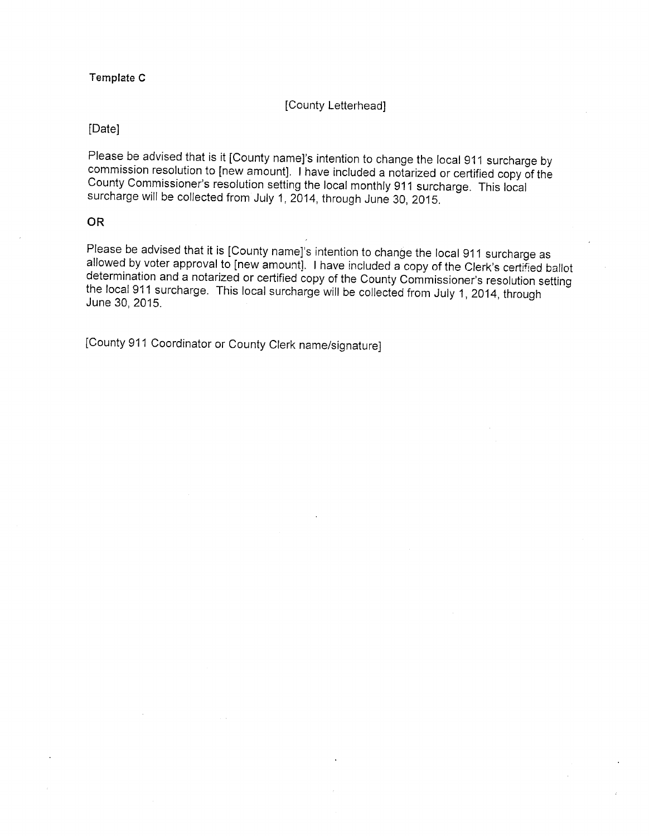#### Template C

#### [County Letterhead]

#### [Date]

Please be advised that is it [County name]'s intention to change the local 911 surcharge by commission resolution to [new amount]. I have included a notarized or certified copy of the County Commissioner's resolution setting the local monthly 911 surcharge. This local surcharge will be collected from July 1, 2014, through June 30, 2015.

#### **OR**

Please be advised that it is [County name]'s intention to change the local 911 surcharge as allowed by voter approval to [new amount]. I have included a copy of the Clerk's certified ballot determination and a notarized or certified copy of the County Commissioner's resolution setting the local 911 surcharge. This local surcharge will be collected from July 1, 2014, through June 30, 2015.

[County 911 Coordinator or County Clerk name/signature]